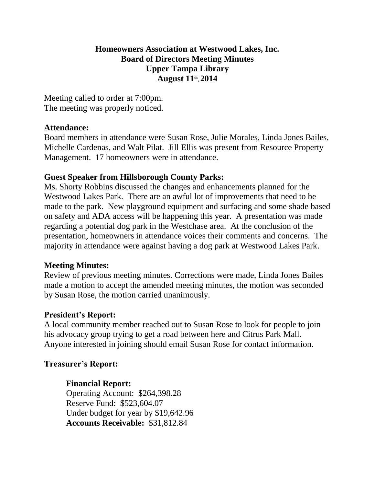#### **Homeowners Association at Westwood Lakes, Inc. Board of Directors Meeting Minutes Upper Tampa Library August 11th , 2014**

Meeting called to order at 7:00pm. The meeting was properly noticed.

#### **Attendance:**

Board members in attendance were Susan Rose, Julie Morales, Linda Jones Bailes, Michelle Cardenas, and Walt Pilat. Jill Ellis was present from Resource Property Management. 17 homeowners were in attendance.

### **Guest Speaker from Hillsborough County Parks:**

Ms. Shorty Robbins discussed the changes and enhancements planned for the Westwood Lakes Park. There are an awful lot of improvements that need to be made to the park. New playground equipment and surfacing and some shade based on safety and ADA access will be happening this year. A presentation was made regarding a potential dog park in the Westchase area. At the conclusion of the presentation, homeowners in attendance voices their comments and concerns. The majority in attendance were against having a dog park at Westwood Lakes Park.

### **Meeting Minutes:**

Review of previous meeting minutes. Corrections were made, Linda Jones Bailes made a motion to accept the amended meeting minutes, the motion was seconded by Susan Rose, the motion carried unanimously.

### **President's Report:**

A local community member reached out to Susan Rose to look for people to join his advocacy group trying to get a road between here and Citrus Park Mall. Anyone interested in joining should email Susan Rose for contact information.

# **Treasurer's Report:**

**Financial Report:** Operating Account: \$264,398.28 Reserve Fund: \$523,604.07 Under budget for year by \$19,642.96 **Accounts Receivable:** \$31,812.84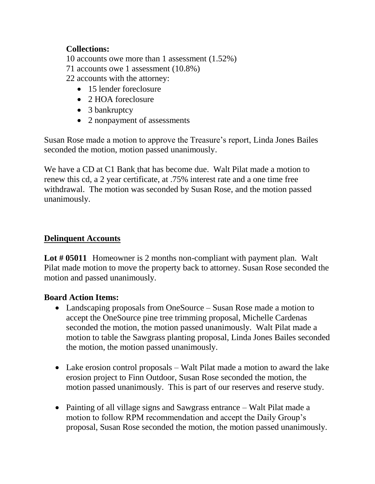# **Collections:**

10 accounts owe more than 1 assessment (1.52%)

71 accounts owe 1 assessment (10.8%)

22 accounts with the attorney:

- 15 lender foreclosure
- 2 HOA foreclosure
- 3 bankruptcy
- 2 nonpayment of assessments

Susan Rose made a motion to approve the Treasure's report, Linda Jones Bailes seconded the motion, motion passed unanimously.

We have a CD at C1 Bank that has become due. Walt Pilat made a motion to renew this cd, a 2 year certificate, at .75% interest rate and a one time free withdrawal. The motion was seconded by Susan Rose, and the motion passed unanimously.

## **Delinquent Accounts**

Lot #05011 Homeowner is 2 months non-compliant with payment plan. Walt Pilat made motion to move the property back to attorney. Susan Rose seconded the motion and passed unanimously.

# **Board Action Items:**

- Landscaping proposals from OneSource Susan Rose made a motion to accept the OneSource pine tree trimming proposal, Michelle Cardenas seconded the motion, the motion passed unanimously. Walt Pilat made a motion to table the Sawgrass planting proposal, Linda Jones Bailes seconded the motion, the motion passed unanimously.
- Lake erosion control proposals Walt Pilat made a motion to award the lake erosion project to Finn Outdoor, Susan Rose seconded the motion, the motion passed unanimously. This is part of our reserves and reserve study.
- Painting of all village signs and Sawgrass entrance Walt Pilat made a motion to follow RPM recommendation and accept the Daily Group's proposal, Susan Rose seconded the motion, the motion passed unanimously.